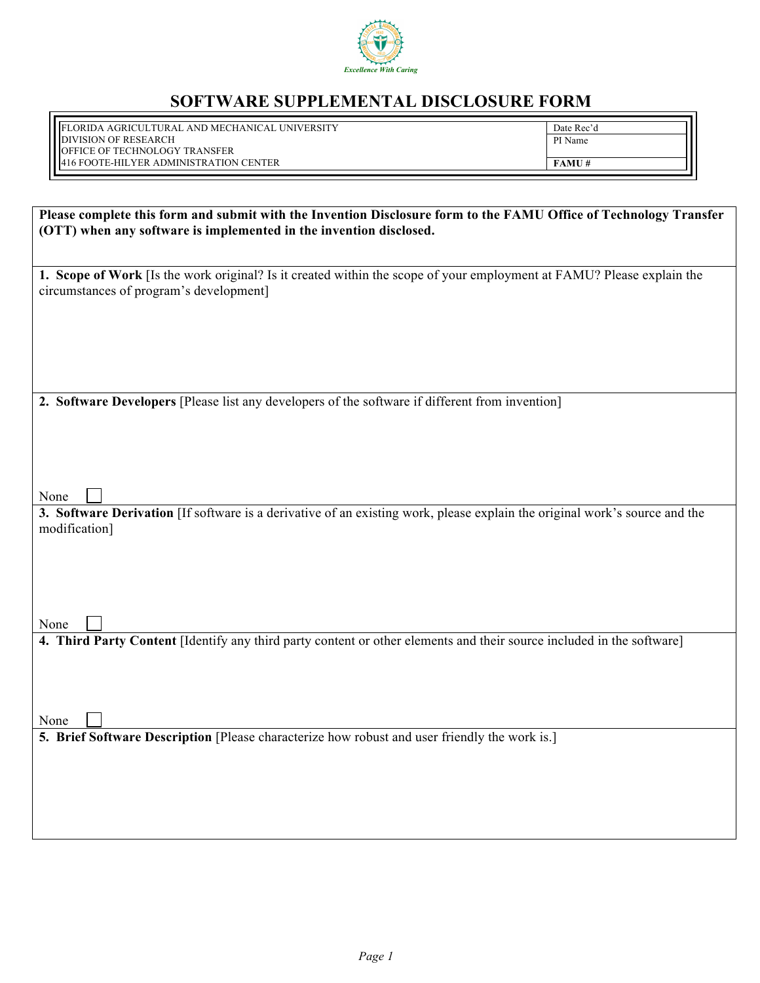

## **SOFTWARE SUPPLEMENTAL DISCLOSURE FORM**

FLORIDA AGRICULTURAL AND MECHANICAL UNIVERSITY DIVISION OF RESEARCH OFFICE OF TECHNOLOGY TRANSFER FAX: (850) 412-7290 412-7290 412-7290 412-7290 412-7290 412-7290 412-7290 412-72 416 FOOTE-HILYER ADMINISTRATION CENTER

Date Rec'd PI Name **FAMU #** 

| Please complete this form and submit with the Invention Disclosure form to the FAMU Office of Technology Transfer             |  |  |  |  |
|-------------------------------------------------------------------------------------------------------------------------------|--|--|--|--|
| (OTT) when any software is implemented in the invention disclosed.                                                            |  |  |  |  |
|                                                                                                                               |  |  |  |  |
| 1. Scope of Work [Is the work original? Is it created within the scope of your employment at FAMU? Please explain the         |  |  |  |  |
| circumstances of program's development]                                                                                       |  |  |  |  |
|                                                                                                                               |  |  |  |  |
|                                                                                                                               |  |  |  |  |
|                                                                                                                               |  |  |  |  |
|                                                                                                                               |  |  |  |  |
| 2. Software Developers [Please list any developers of the software if different from invention]                               |  |  |  |  |
|                                                                                                                               |  |  |  |  |
|                                                                                                                               |  |  |  |  |
|                                                                                                                               |  |  |  |  |
| None                                                                                                                          |  |  |  |  |
| 3. Software Derivation [If software is a derivative of an existing work, please explain the original work's source and the    |  |  |  |  |
| modification]                                                                                                                 |  |  |  |  |
|                                                                                                                               |  |  |  |  |
|                                                                                                                               |  |  |  |  |
|                                                                                                                               |  |  |  |  |
|                                                                                                                               |  |  |  |  |
| None<br>4. Third Party Content [Identify any third party content or other elements and their source included in the software] |  |  |  |  |
|                                                                                                                               |  |  |  |  |
|                                                                                                                               |  |  |  |  |
|                                                                                                                               |  |  |  |  |
| None                                                                                                                          |  |  |  |  |
| 5. Brief Software Description [Please characterize how robust and user friendly the work is.]                                 |  |  |  |  |
|                                                                                                                               |  |  |  |  |
|                                                                                                                               |  |  |  |  |
|                                                                                                                               |  |  |  |  |
|                                                                                                                               |  |  |  |  |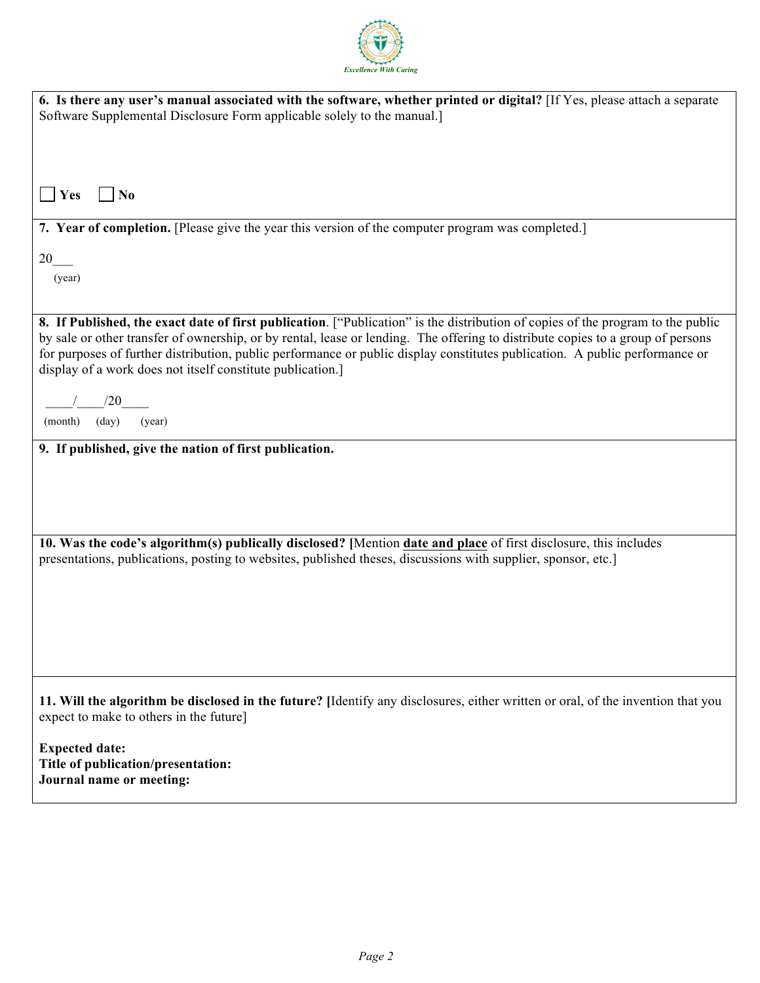

| 6. Is there any user's manual associated with the software, whether printed or digital? [If Yes, please attach a separate<br>Software Supplemental Disclosure Form applicable solely to the manual.]                                                                                                                                                                                                                                                            |
|-----------------------------------------------------------------------------------------------------------------------------------------------------------------------------------------------------------------------------------------------------------------------------------------------------------------------------------------------------------------------------------------------------------------------------------------------------------------|
|                                                                                                                                                                                                                                                                                                                                                                                                                                                                 |
| $\blacksquare$ Yes<br>N <sub>0</sub>                                                                                                                                                                                                                                                                                                                                                                                                                            |
| 7. Year of completion. [Please give the year this version of the computer program was completed.]                                                                                                                                                                                                                                                                                                                                                               |
| 20<br>(year)                                                                                                                                                                                                                                                                                                                                                                                                                                                    |
| 8. If Published, the exact date of first publication. ["Publication" is the distribution of copies of the program to the public<br>by sale or other transfer of ownership, or by rental, lease or lending. The offering to distribute copies to a group of persons<br>for purposes of further distribution, public performance or public display constitutes publication. A public performance or<br>display of a work does not itself constitute publication.] |
| /20                                                                                                                                                                                                                                                                                                                                                                                                                                                             |
| (month)<br>$\text{(day)}$<br>(year)                                                                                                                                                                                                                                                                                                                                                                                                                             |
| 9. If published, give the nation of first publication.                                                                                                                                                                                                                                                                                                                                                                                                          |
|                                                                                                                                                                                                                                                                                                                                                                                                                                                                 |
|                                                                                                                                                                                                                                                                                                                                                                                                                                                                 |
| 10. Was the code's algorithm(s) publically disclosed? [Mention date and place of first disclosure, this includes                                                                                                                                                                                                                                                                                                                                                |
| presentations, publications, posting to websites, published theses, discussions with supplier, sponsor, etc.]                                                                                                                                                                                                                                                                                                                                                   |
|                                                                                                                                                                                                                                                                                                                                                                                                                                                                 |
|                                                                                                                                                                                                                                                                                                                                                                                                                                                                 |
|                                                                                                                                                                                                                                                                                                                                                                                                                                                                 |
|                                                                                                                                                                                                                                                                                                                                                                                                                                                                 |
| 11. Will the algorithm be disclosed in the future? [Identify any disclosures, either written or oral, of the invention that you<br>expect to make to others in the future]                                                                                                                                                                                                                                                                                      |
| <b>Expected date:</b><br>Title of publication/presentation:<br>Journal name or meeting:                                                                                                                                                                                                                                                                                                                                                                         |